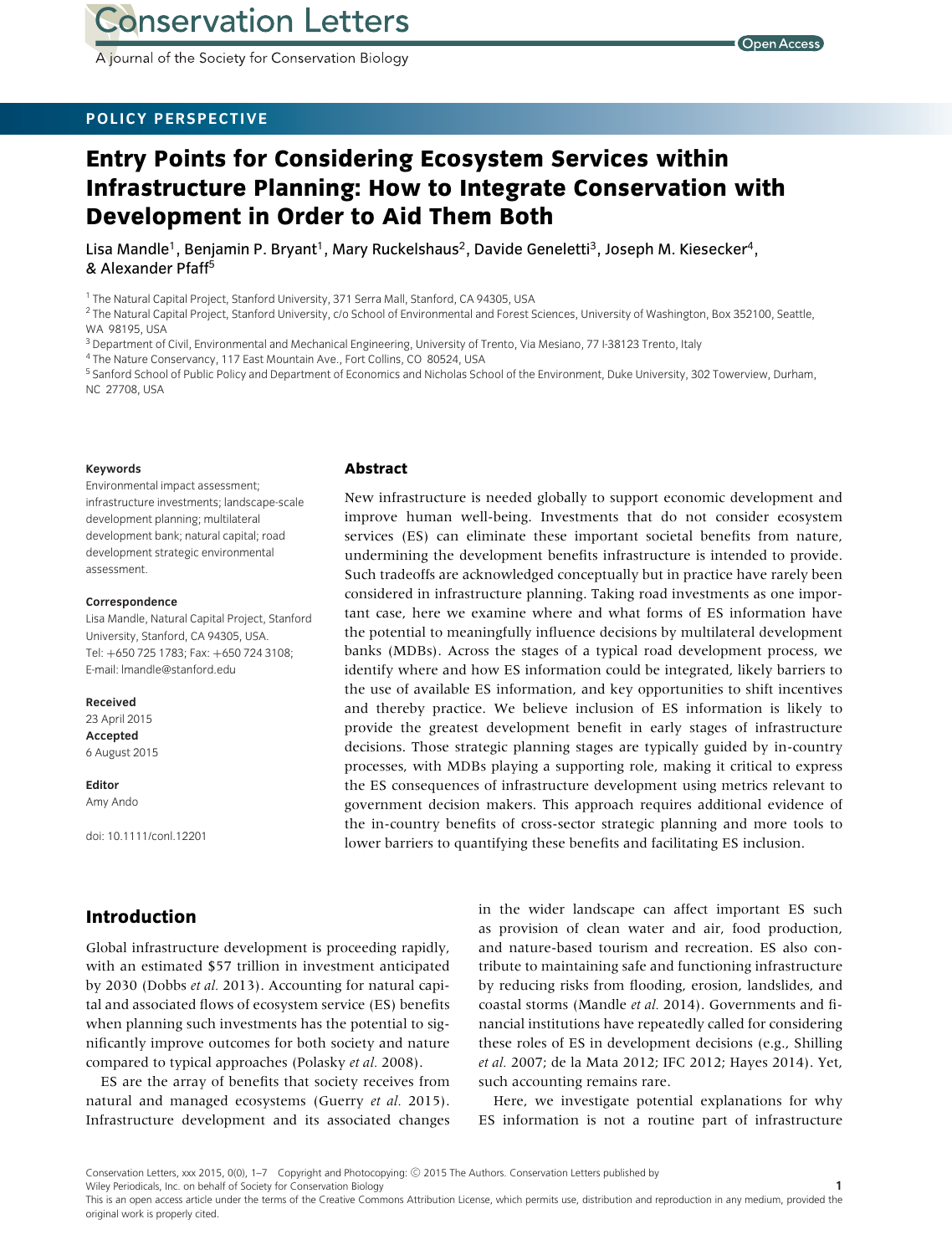A journal of the Society for Conservation Biology

# **POLICY PERSPECTIVE**

# **Entry Points for Considering Ecosystem Services within Infrastructure Planning: How to Integrate Conservation with Development in Order to Aid Them Both**

Lisa Mandle<sup>1</sup>, Benjamin P. Bryant<sup>1</sup>, Mary Ruckelshaus<sup>2</sup>, Davide Geneletti<sup>3</sup>, Joseph M. Kiesecker<sup>4</sup>, & Alexander Pfaff<sup>5</sup>

<sup>1</sup> The Natural Capital Project, Stanford University, 371 Serra Mall, Stanford, CA 94305, USA

<sup>2</sup> The Natural Capital Project, Stanford University, c/o School of Environmental and Forest Sciences, University of Washington, Box 352100, Seattle, WA 98195, USA

<sup>3</sup> Department of Civil, Environmental and Mechanical Engineering, University of Trento, Via Mesiano, 77 I-38123 Trento, Italy

<sup>4</sup> The Nature Conservancy, 117 East Mountain Ave., Fort Collins, CO 80524, USA

<sup>5</sup> Sanford School of Public Policy and Department of Economics and Nicholas School of the Environment, Duke University, 302 Towerview, Durham, NC 27708, USA

#### **Keywords**

Environmental impact assessment; infrastructure investments; landscape-scale development planning; multilateral development bank; natural capital; road development strategic environmental assessment.

#### **Correspondence**

Lisa Mandle, Natural Capital Project, Stanford University, Stanford, CA 94305, USA. Tel: +650 725 1783; Fax: +650 724 3108; E-mail: lmandle@stanford.edu

**Received** 23 April 2015

**Accepted** 6 August 2015

**Editor** Amy Ando

doi: 10.1111/conl.12201

#### **Abstract**

New infrastructure is needed globally to support economic development and improve human well-being. Investments that do not consider ecosystem services (ES) can eliminate these important societal benefits from nature, undermining the development benefits infrastructure is intended to provide. Such tradeoffs are acknowledged conceptually but in practice have rarely been considered in infrastructure planning. Taking road investments as one important case, here we examine where and what forms of ES information have the potential to meaningfully influence decisions by multilateral development banks (MDBs). Across the stages of a typical road development process, we identify where and how ES information could be integrated, likely barriers to the use of available ES information, and key opportunities to shift incentives and thereby practice. We believe inclusion of ES information is likely to provide the greatest development benefit in early stages of infrastructure decisions. Those strategic planning stages are typically guided by in-country processes, with MDBs playing a supporting role, making it critical to express the ES consequences of infrastructure development using metrics relevant to government decision makers. This approach requires additional evidence of the in-country benefits of cross-sector strategic planning and more tools to lower barriers to quantifying these benefits and facilitating ES inclusion.

# **Introduction**

Global infrastructure development is proceeding rapidly, with an estimated \$57 trillion in investment anticipated by 2030 (Dobbs *et al.* 2013). Accounting for natural capital and associated flows of ecosystem service (ES) benefits when planning such investments has the potential to significantly improve outcomes for both society and nature compared to typical approaches (Polasky *et al.* 2008).

ES are the array of benefits that society receives from natural and managed ecosystems (Guerry *et al.* 2015). Infrastructure development and its associated changes

in the wider landscape can affect important ES such as provision of clean water and air, food production, and nature-based tourism and recreation. ES also contribute to maintaining safe and functioning infrastructure by reducing risks from flooding, erosion, landslides, and coastal storms (Mandle *et al.* 2014). Governments and financial institutions have repeatedly called for considering these roles of ES in development decisions (e.g., Shilling *et al.* 2007; de la Mata 2012; IFC 2012; Hayes 2014). Yet, such accounting remains rare.

Here, we investigate potential explanations for why ES information is not a routine part of infrastructure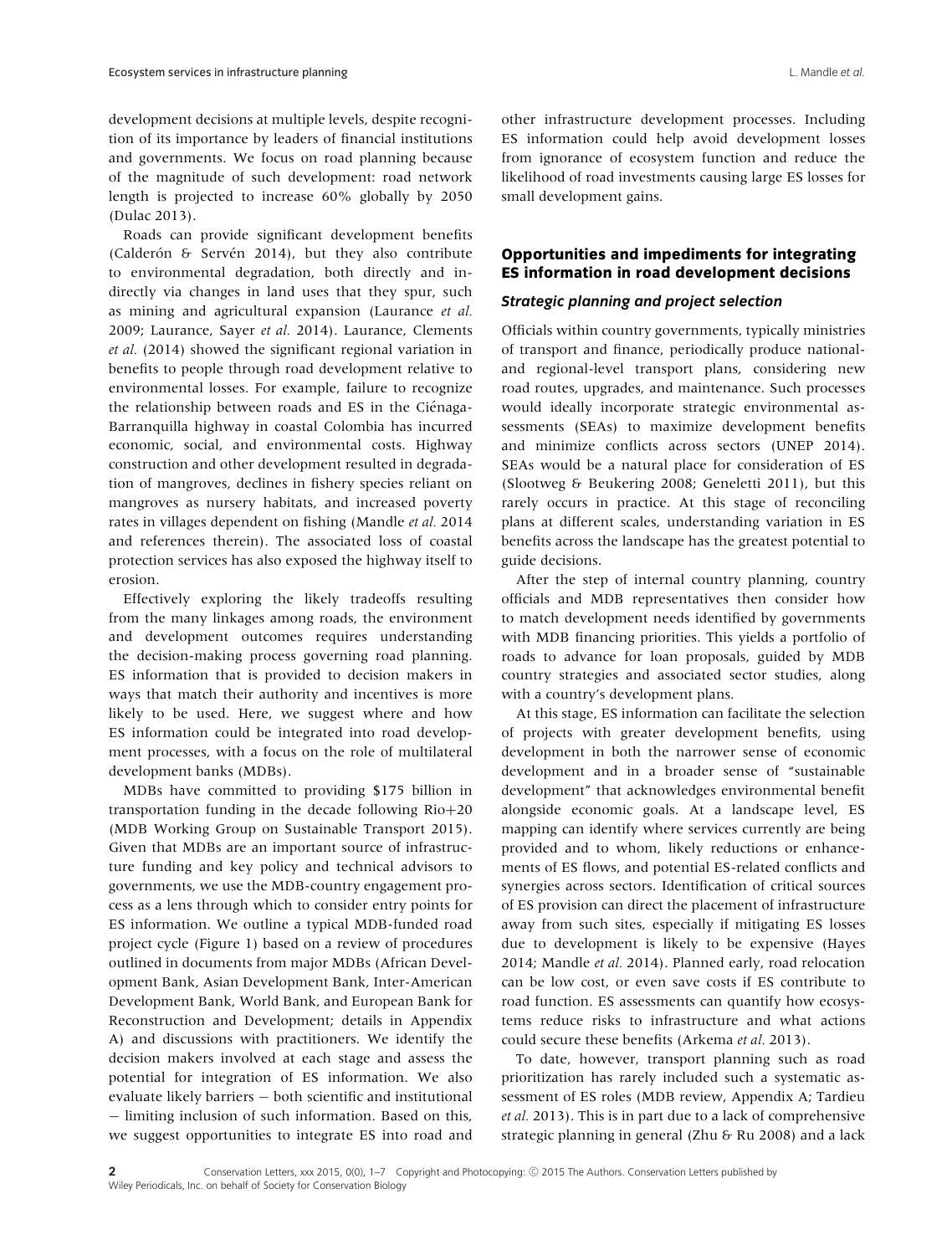development decisions at multiple levels, despite recognition of its importance by leaders of financial institutions and governments. We focus on road planning because of the magnitude of such development: road network length is projected to increase 60% globally by 2050 (Dulac 2013).

Roads can provide significant development benefits (Calderón & Servén 2014), but they also contribute to environmental degradation, both directly and indirectly via changes in land uses that they spur, such as mining and agricultural expansion (Laurance *et al.* 2009; Laurance, Sayer *et al.* 2014). Laurance, Clements *et al.* (2014) showed the significant regional variation in benefits to people through road development relative to environmental losses. For example, failure to recognize the relationship between roads and ES in the Ciénaga-Barranquilla highway in coastal Colombia has incurred economic, social, and environmental costs. Highway construction and other development resulted in degradation of mangroves, declines in fishery species reliant on mangroves as nursery habitats, and increased poverty rates in villages dependent on fishing (Mandle *et al.* 2014 and references therein). The associated loss of coastal protection services has also exposed the highway itself to erosion.

Effectively exploring the likely tradeoffs resulting from the many linkages among roads, the environment and development outcomes requires understanding the decision-making process governing road planning. ES information that is provided to decision makers in ways that match their authority and incentives is more likely to be used. Here, we suggest where and how ES information could be integrated into road development processes, with a focus on the role of multilateral development banks (MDBs).

MDBs have committed to providing \$175 billion in transportation funding in the decade following Rio+20 (MDB Working Group on Sustainable Transport 2015). Given that MDBs are an important source of infrastructure funding and key policy and technical advisors to governments, we use the MDB-country engagement process as a lens through which to consider entry points for ES information. We outline a typical MDB-funded road project cycle (Figure 1) based on a review of procedures outlined in documents from major MDBs (African Development Bank, Asian Development Bank, Inter-American Development Bank, World Bank, and European Bank for Reconstruction and Development; details in Appendix A) and discussions with practitioners. We identify the decision makers involved at each stage and assess the potential for integration of ES information. We also evaluate likely barriers − both scientific and institutional − limiting inclusion of such information. Based on this, we suggest opportunities to integrate ES into road and other infrastructure development processes. Including ES information could help avoid development losses from ignorance of ecosystem function and reduce the likelihood of road investments causing large ES losses for small development gains.

## **Opportunities and impediments for integrating ES information in road development decisions**

### *Strategic planning and project selection*

Officials within country governments, typically ministries of transport and finance, periodically produce nationaland regional-level transport plans, considering new road routes, upgrades, and maintenance. Such processes would ideally incorporate strategic environmental assessments (SEAs) to maximize development benefits and minimize conflicts across sectors (UNEP 2014). SEAs would be a natural place for consideration of ES (Slootweg & Beukering 2008; Geneletti 2011), but this rarely occurs in practice. At this stage of reconciling plans at different scales, understanding variation in ES benefits across the landscape has the greatest potential to guide decisions.

After the step of internal country planning, country officials and MDB representatives then consider how to match development needs identified by governments with MDB financing priorities. This yields a portfolio of roads to advance for loan proposals, guided by MDB country strategies and associated sector studies, along with a country's development plans.

At this stage, ES information can facilitate the selection of projects with greater development benefits, using development in both the narrower sense of economic development and in a broader sense of "sustainable development" that acknowledges environmental benefit alongside economic goals. At a landscape level, ES mapping can identify where services currently are being provided and to whom, likely reductions or enhancements of ES flows, and potential ES-related conflicts and synergies across sectors. Identification of critical sources of ES provision can direct the placement of infrastructure away from such sites, especially if mitigating ES losses due to development is likely to be expensive (Hayes 2014; Mandle *et al.* 2014). Planned early, road relocation can be low cost, or even save costs if ES contribute to road function. ES assessments can quantify how ecosystems reduce risks to infrastructure and what actions could secure these benefits (Arkema *et al.* 2013).

To date, however, transport planning such as road prioritization has rarely included such a systematic assessment of ES roles (MDB review, Appendix A; Tardieu *et al.* 2013). This is in part due to a lack of comprehensive strategic planning in general (Zhu & Ru 2008) and a lack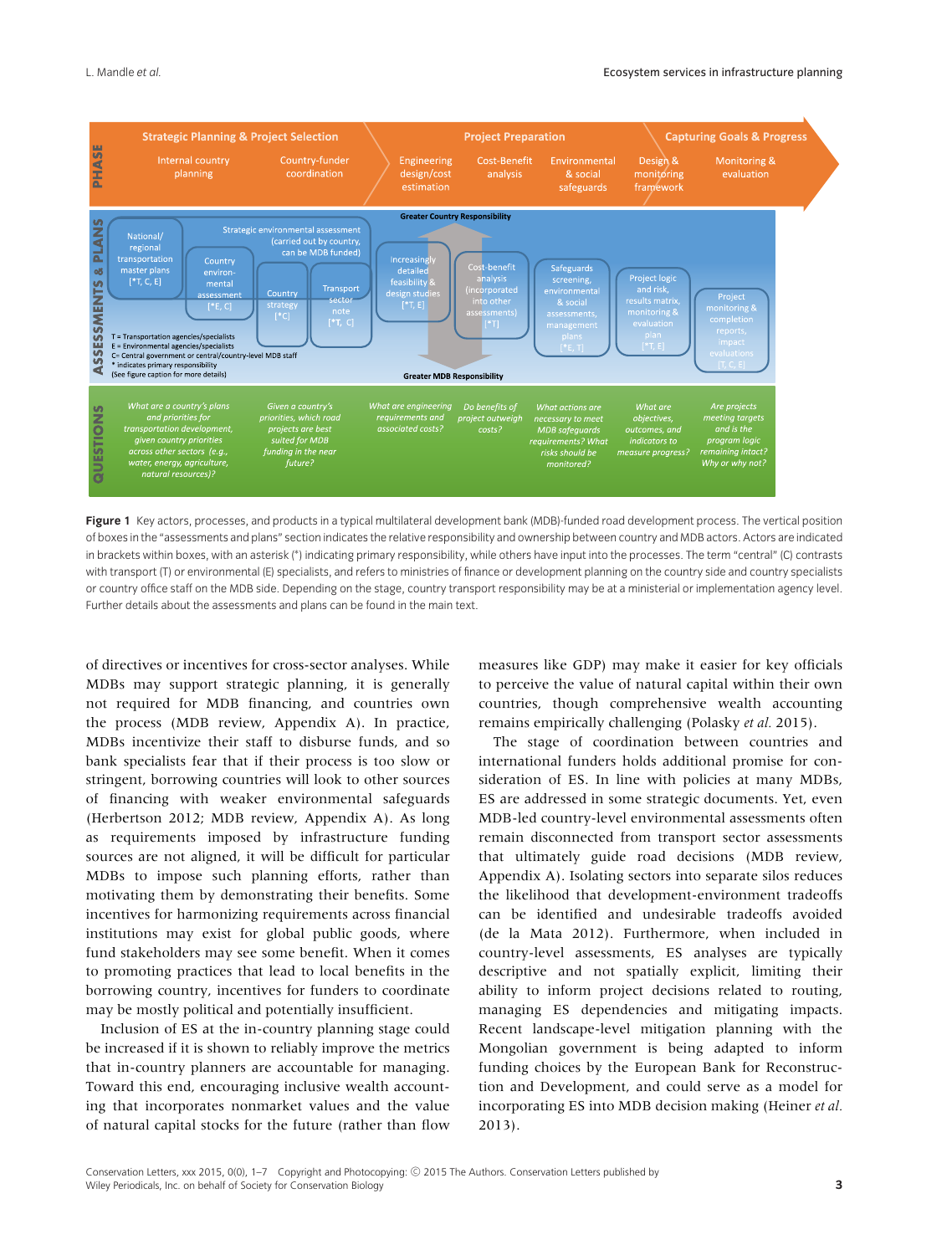

Figure 1 Key actors, processes, and products in a typical multilateral development bank (MDB)-funded road development process. The vertical position of boxes in the "assessments and plans" section indicates the relative responsibility and ownership between country and MDB actors. Actors are indicated in brackets within boxes, with an asterisk (∗) indicating primary responsibility, while others have input into the processes. The term "central" (C) contrasts with transport (T) or environmental (E) specialists, and refers to ministries of finance or development planning on the country side and country specialists or country office staff on the MDB side. Depending on the stage, country transport responsibility may be at a ministerial or implementation agency level. Further details about the assessments and plans can be found in the main text.

of directives or incentives for cross-sector analyses. While MDBs may support strategic planning, it is generally not required for MDB financing, and countries own the process (MDB review, Appendix A). In practice, MDBs incentivize their staff to disburse funds, and so bank specialists fear that if their process is too slow or stringent, borrowing countries will look to other sources of financing with weaker environmental safeguards (Herbertson 2012; MDB review, Appendix A). As long as requirements imposed by infrastructure funding sources are not aligned, it will be difficult for particular MDBs to impose such planning efforts, rather than motivating them by demonstrating their benefits. Some incentives for harmonizing requirements across financial institutions may exist for global public goods, where fund stakeholders may see some benefit. When it comes to promoting practices that lead to local benefits in the borrowing country, incentives for funders to coordinate may be mostly political and potentially insufficient.

Inclusion of ES at the in-country planning stage could be increased if it is shown to reliably improve the metrics that in-country planners are accountable for managing. Toward this end, encouraging inclusive wealth accounting that incorporates nonmarket values and the value of natural capital stocks for the future (rather than flow measures like GDP) may make it easier for key officials to perceive the value of natural capital within their own countries, though comprehensive wealth accounting remains empirically challenging (Polasky *et al.* 2015).

The stage of coordination between countries and international funders holds additional promise for consideration of ES. In line with policies at many MDBs, ES are addressed in some strategic documents. Yet, even MDB-led country-level environmental assessments often remain disconnected from transport sector assessments that ultimately guide road decisions (MDB review, Appendix A). Isolating sectors into separate silos reduces the likelihood that development-environment tradeoffs can be identified and undesirable tradeoffs avoided (de la Mata 2012). Furthermore, when included in country-level assessments, ES analyses are typically descriptive and not spatially explicit, limiting their ability to inform project decisions related to routing, managing ES dependencies and mitigating impacts. Recent landscape-level mitigation planning with the Mongolian government is being adapted to inform funding choices by the European Bank for Reconstruction and Development, and could serve as a model for incorporating ES into MDB decision making (Heiner *et al.* 2013).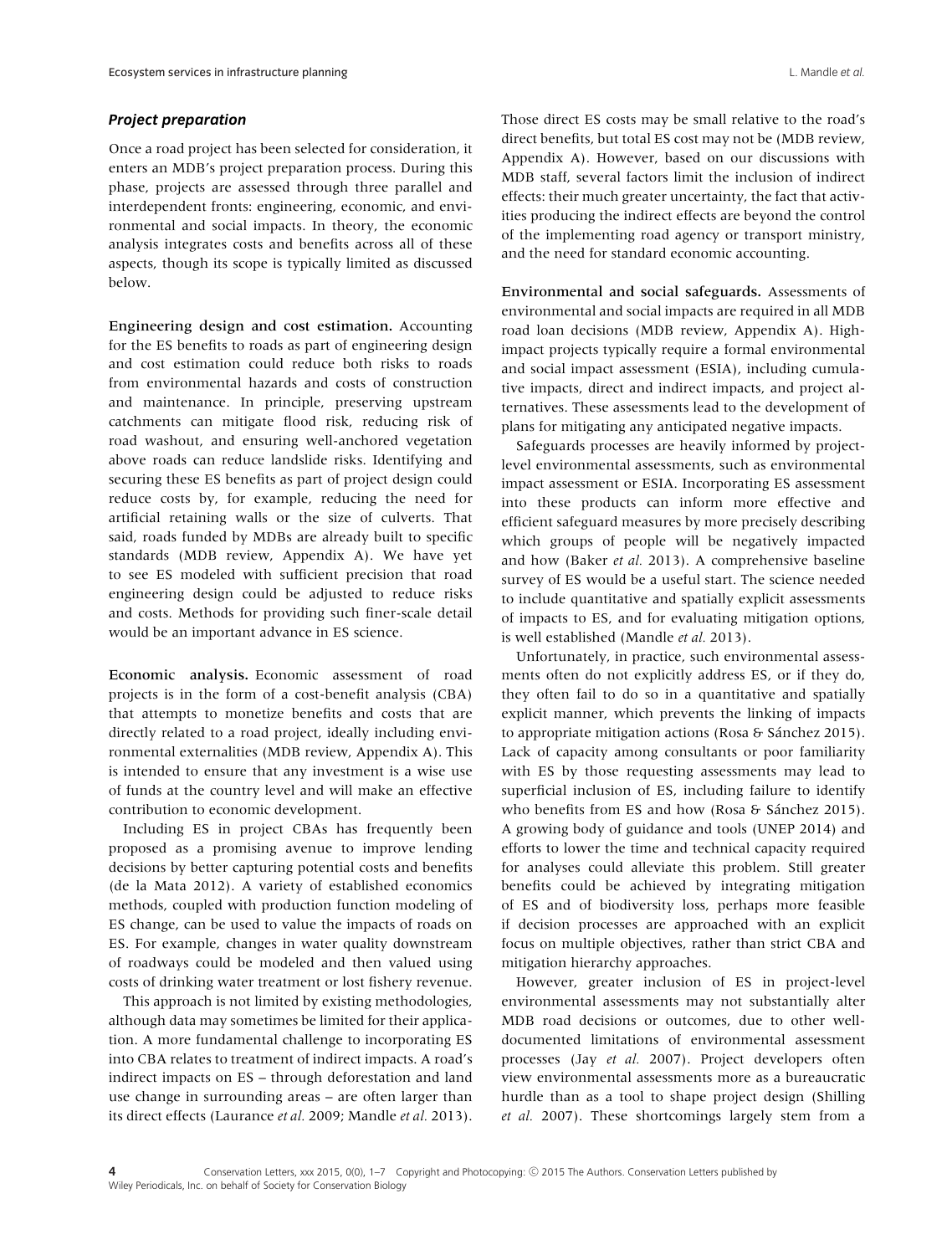### *Project preparation*

Once a road project has been selected for consideration, it enters an MDB's project preparation process. During this phase, projects are assessed through three parallel and interdependent fronts: engineering, economic, and environmental and social impacts. In theory, the economic analysis integrates costs and benefits across all of these aspects, though its scope is typically limited as discussed below.

Engineering design and cost estimation. Accounting for the ES benefits to roads as part of engineering design and cost estimation could reduce both risks to roads from environmental hazards and costs of construction and maintenance. In principle, preserving upstream catchments can mitigate flood risk, reducing risk of road washout, and ensuring well-anchored vegetation above roads can reduce landslide risks. Identifying and securing these ES benefits as part of project design could reduce costs by, for example, reducing the need for artificial retaining walls or the size of culverts. That said, roads funded by MDBs are already built to specific standards (MDB review, Appendix A). We have yet to see ES modeled with sufficient precision that road engineering design could be adjusted to reduce risks and costs. Methods for providing such finer-scale detail would be an important advance in ES science.

Economic analysis. Economic assessment of road projects is in the form of a cost-benefit analysis (CBA) that attempts to monetize benefits and costs that are directly related to a road project, ideally including environmental externalities (MDB review, Appendix A). This is intended to ensure that any investment is a wise use of funds at the country level and will make an effective contribution to economic development.

Including ES in project CBAs has frequently been proposed as a promising avenue to improve lending decisions by better capturing potential costs and benefits (de la Mata 2012). A variety of established economics methods, coupled with production function modeling of ES change, can be used to value the impacts of roads on ES. For example, changes in water quality downstream of roadways could be modeled and then valued using costs of drinking water treatment or lost fishery revenue.

This approach is not limited by existing methodologies, although data may sometimes be limited for their application. A more fundamental challenge to incorporating ES into CBA relates to treatment of indirect impacts. A road's indirect impacts on ES – through deforestation and land use change in surrounding areas – are often larger than its direct effects (Laurance *et al.* 2009; Mandle *et al.* 2013). Those direct ES costs may be small relative to the road's direct benefits, but total ES cost may not be (MDB review, Appendix A). However, based on our discussions with MDB staff, several factors limit the inclusion of indirect effects: their much greater uncertainty, the fact that activities producing the indirect effects are beyond the control of the implementing road agency or transport ministry, and the need for standard economic accounting.

Environmental and social safeguards. Assessments of environmental and social impacts are required in all MDB road loan decisions (MDB review, Appendix A). Highimpact projects typically require a formal environmental and social impact assessment (ESIA), including cumulative impacts, direct and indirect impacts, and project alternatives. These assessments lead to the development of plans for mitigating any anticipated negative impacts.

Safeguards processes are heavily informed by projectlevel environmental assessments, such as environmental impact assessment or ESIA. Incorporating ES assessment into these products can inform more effective and efficient safeguard measures by more precisely describing which groups of people will be negatively impacted and how (Baker *et al.* 2013). A comprehensive baseline survey of ES would be a useful start. The science needed to include quantitative and spatially explicit assessments of impacts to ES, and for evaluating mitigation options, is well established (Mandle *et al.* 2013).

Unfortunately, in practice, such environmental assessments often do not explicitly address ES, or if they do, they often fail to do so in a quantitative and spatially explicit manner, which prevents the linking of impacts to appropriate mitigation actions (Rosa & Sánchez 2015). Lack of capacity among consultants or poor familiarity with ES by those requesting assessments may lead to superficial inclusion of ES, including failure to identify who benefits from ES and how (Rosa & Sánchez 2015). A growing body of guidance and tools (UNEP 2014) and efforts to lower the time and technical capacity required for analyses could alleviate this problem. Still greater benefits could be achieved by integrating mitigation of ES and of biodiversity loss, perhaps more feasible if decision processes are approached with an explicit focus on multiple objectives, rather than strict CBA and mitigation hierarchy approaches.

However, greater inclusion of ES in project-level environmental assessments may not substantially alter MDB road decisions or outcomes, due to other welldocumented limitations of environmental assessment processes (Jay *et al.* 2007). Project developers often view environmental assessments more as a bureaucratic hurdle than as a tool to shape project design (Shilling *et al.* 2007). These shortcomings largely stem from a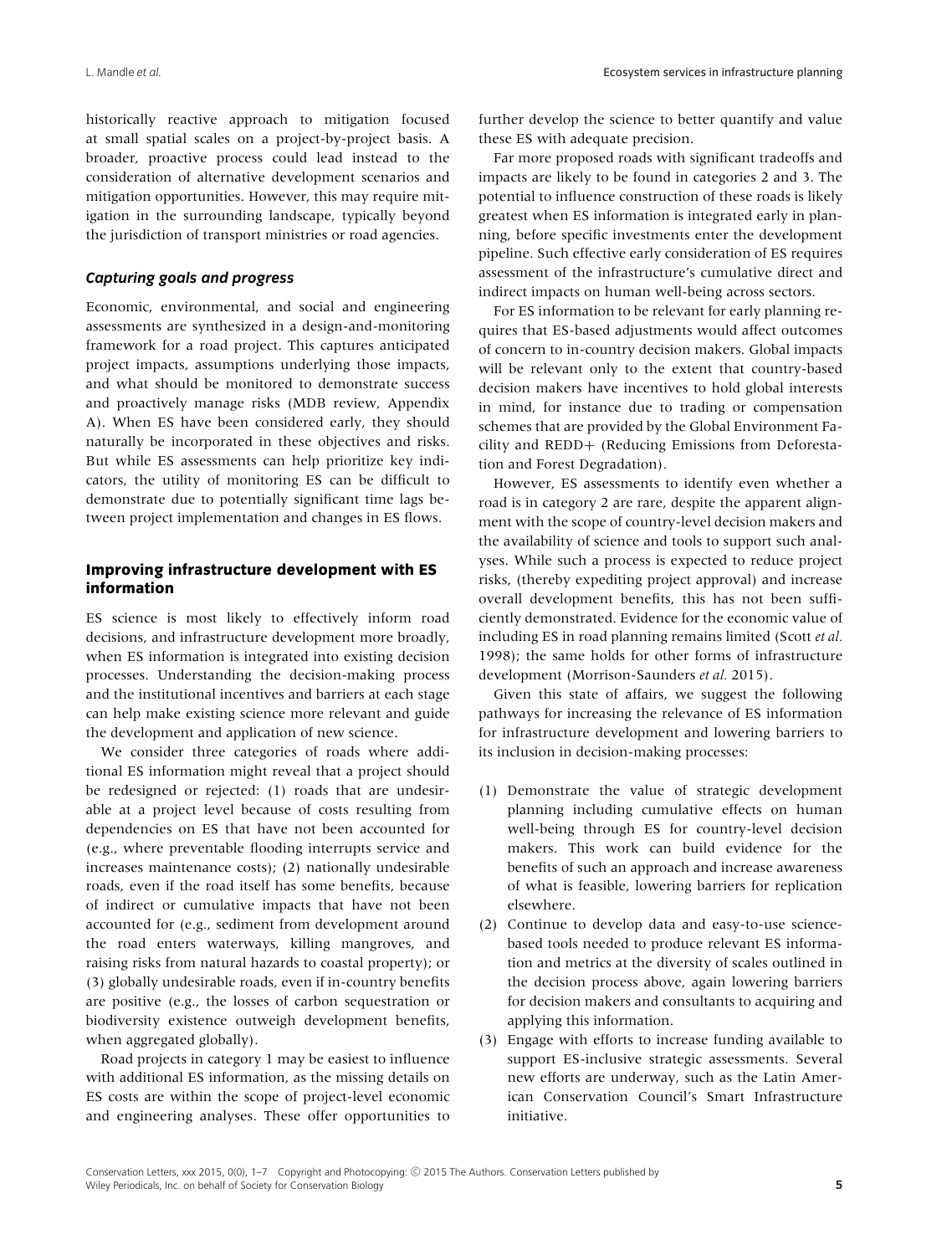historically reactive approach to mitigation focused at small spatial scales on a project-by-project basis. A broader, proactive process could lead instead to the consideration of alternative development scenarios and mitigation opportunities. However, this may require mitigation in the surrounding landscape, typically beyond the jurisdiction of transport ministries or road agencies.

#### *Capturing goals and progress*

Economic, environmental, and social and engineering assessments are synthesized in a design-and-monitoring framework for a road project. This captures anticipated project impacts, assumptions underlying those impacts, and what should be monitored to demonstrate success and proactively manage risks (MDB review, Appendix A). When ES have been considered early, they should naturally be incorporated in these objectives and risks. But while ES assessments can help prioritize key indicators, the utility of monitoring ES can be difficult to demonstrate due to potentially significant time lags between project implementation and changes in ES flows.

## **Improving infrastructure development with ES information**

ES science is most likely to effectively inform road decisions, and infrastructure development more broadly, when ES information is integrated into existing decision processes. Understanding the decision-making process and the institutional incentives and barriers at each stage can help make existing science more relevant and guide the development and application of new science.

We consider three categories of roads where additional ES information might reveal that a project should be redesigned or rejected: (1) roads that are undesirable at a project level because of costs resulting from dependencies on ES that have not been accounted for (e.g., where preventable flooding interrupts service and increases maintenance costs); (2) nationally undesirable roads, even if the road itself has some benefits, because of indirect or cumulative impacts that have not been accounted for (e.g., sediment from development around the road enters waterways, killing mangroves, and raising risks from natural hazards to coastal property); or (3) globally undesirable roads, even if in-country benefits are positive (e.g., the losses of carbon sequestration or biodiversity existence outweigh development benefits, when aggregated globally).

Road projects in category 1 may be easiest to influence with additional ES information, as the missing details on ES costs are within the scope of project-level economic and engineering analyses. These offer opportunities to further develop the science to better quantify and value these ES with adequate precision.

Far more proposed roads with significant tradeoffs and impacts are likely to be found in categories 2 and 3. The potential to influence construction of these roads is likely greatest when ES information is integrated early in planning, before specific investments enter the development pipeline. Such effective early consideration of ES requires assessment of the infrastructure's cumulative direct and indirect impacts on human well-being across sectors.

For ES information to be relevant for early planning requires that ES-based adjustments would affect outcomes of concern to in-country decision makers. Global impacts will be relevant only to the extent that country-based decision makers have incentives to hold global interests in mind, for instance due to trading or compensation schemes that are provided by the Global Environment Facility and REDD+ (Reducing Emissions from Deforestation and Forest Degradation).

However, ES assessments to identify even whether a road is in category 2 are rare, despite the apparent alignment with the scope of country-level decision makers and the availability of science and tools to support such analyses. While such a process is expected to reduce project risks, (thereby expediting project approval) and increase overall development benefits, this has not been sufficiently demonstrated. Evidence for the economic value of including ES in road planning remains limited (Scott *et al.* 1998); the same holds for other forms of infrastructure development (Morrison-Saunders *et al.* 2015).

Given this state of affairs, we suggest the following pathways for increasing the relevance of ES information for infrastructure development and lowering barriers to its inclusion in decision-making processes:

- (1) Demonstrate the value of strategic development planning including cumulative effects on human well-being through ES for country-level decision makers. This work can build evidence for the benefits of such an approach and increase awareness of what is feasible, lowering barriers for replication elsewhere.
- (2) Continue to develop data and easy-to-use sciencebased tools needed to produce relevant ES information and metrics at the diversity of scales outlined in the decision process above, again lowering barriers for decision makers and consultants to acquiring and applying this information.
- (3) Engage with efforts to increase funding available to support ES-inclusive strategic assessments. Several new efforts are underway, such as the Latin American Conservation Council's Smart Infrastructure initiative.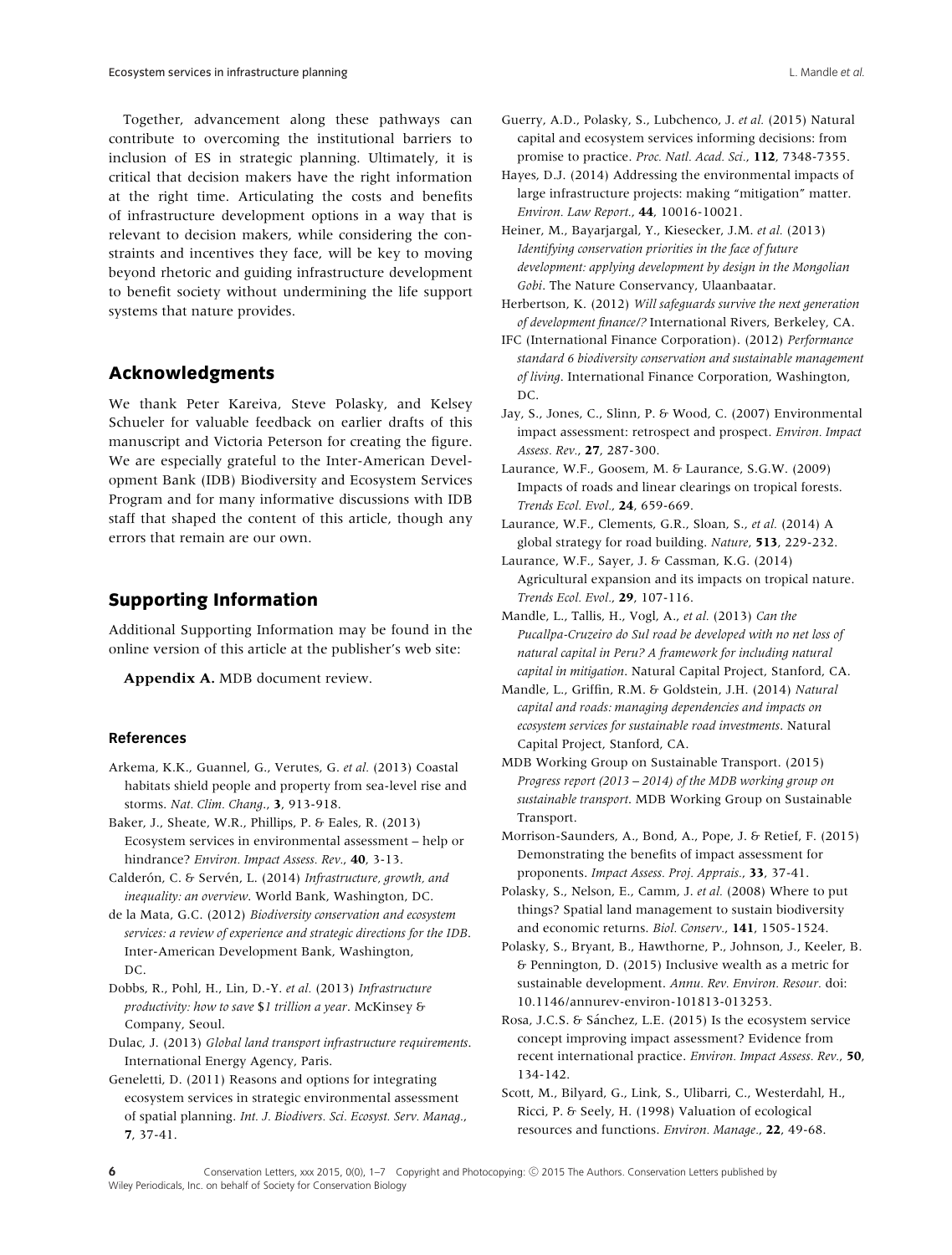Together, advancement along these pathways can contribute to overcoming the institutional barriers to inclusion of ES in strategic planning. Ultimately, it is critical that decision makers have the right information at the right time. Articulating the costs and benefits of infrastructure development options in a way that is relevant to decision makers, while considering the constraints and incentives they face, will be key to moving beyond rhetoric and guiding infrastructure development to benefit society without undermining the life support systems that nature provides.

## **Acknowledgments**

We thank Peter Kareiva, Steve Polasky, and Kelsey Schueler for valuable feedback on earlier drafts of this manuscript and Victoria Peterson for creating the figure. We are especially grateful to the Inter-American Development Bank (IDB) Biodiversity and Ecosystem Services Program and for many informative discussions with IDB staff that shaped the content of this article, though any errors that remain are our own.

# **Supporting Information**

Additional Supporting Information may be found in the online version of this article at the publisher's web site:

**Appendix A.** MDB document review.

### **References**

Arkema, K.K., Guannel, G., Verutes, G. *et al.* (2013) Coastal habitats shield people and property from sea-level rise and storms. *Nat. Clim. Chang*., **3**, 913-918.

Baker, J., Sheate, W.R., Phillips, P. & Eales, R. (2013) Ecosystem services in environmental assessment – help or hindrance? *Environ. Impact Assess. Rev.*, **40**, 3-13.

- Calderón, C. & Servén, L. (2014) Infrastructure, growth, and *inequality: an overview*. World Bank, Washington, DC.
- de la Mata, G.C. (2012) *Biodiversity conservation and ecosystem services: a review of experience and strategic directions for the IDB*. Inter-American Development Bank, Washington, DC.

Dobbs, R., Pohl, H., Lin, D.-Y. *et al.* (2013) *Infrastructure productivity: how to save* \$*1 trillion a year*. McKinsey & Company, Seoul.

Dulac, J. (2013) *Global land transport infrastructure requirements*. International Energy Agency, Paris.

Geneletti, D. (2011) Reasons and options for integrating ecosystem services in strategic environmental assessment of spatial planning. *Int. J. Biodivers. Sci. Ecosyst. Serv. Manag.*, **7**, 37-41.

Hayes, D.J. (2014) Addressing the environmental impacts of large infrastructure projects: making "mitigation" matter. *Environ. Law Report.*, **44**, 10016-10021.

Heiner, M., Bayarjargal, Y., Kiesecker, J.M. *et al.* (2013) *Identifying conservation priorities in the face of future development: applying development by design in the Mongolian Gobi*. The Nature Conservancy, Ulaanbaatar.

- Herbertson, K. (2012) *Will safeguards survive the next generation of development finance/?* International Rivers, Berkeley, CA.
- IFC (International Finance Corporation). (2012) *Performance standard 6 biodiversity conservation and sustainable management of living*. International Finance Corporation, Washington, DC.
- Jay, S., Jones, C., Slinn, P. & Wood, C. (2007) Environmental impact assessment: retrospect and prospect. *Environ. Impact Assess. Rev.*, **27**, 287-300.
- Laurance, W.F., Goosem, M. & Laurance, S.G.W. (2009) Impacts of roads and linear clearings on tropical forests. *Trends Ecol. Evol.*, **24**, 659-669.
- Laurance, W.F., Clements, G.R., Sloan, S., *et al.* (2014) A global strategy for road building. *Nature*, **513**, 229-232.
- Laurance, W.F., Sayer, J. & Cassman, K.G. (2014) Agricultural expansion and its impacts on tropical nature. *Trends Ecol. Evol.*, **29**, 107-116.
- Mandle, L., Tallis, H., Vogl, A., *et al.* (2013) *Can the Pucallpa-Cruzeiro do Sul road be developed with no net loss of natural capital in Peru? A framework for including natural capital in mitigation*. Natural Capital Project, Stanford, CA.
- Mandle, L., Griffin, R.M. & Goldstein, J.H. (2014) *Natural capital and roads: managing dependencies and impacts on ecosystem services for sustainable road investments*. Natural Capital Project, Stanford, CA.
- MDB Working Group on Sustainable Transport. (2015) *Progress report (2013 – 2014) of the MDB working group on sustainable transport*. MDB Working Group on Sustainable Transport.
- Morrison-Saunders, A., Bond, A., Pope, J. & Retief, F. (2015) Demonstrating the benefits of impact assessment for proponents. *Impact Assess. Proj. Apprais.*, **33**, 37-41.

Polasky, S., Nelson, E., Camm, J. *et al.* (2008) Where to put things? Spatial land management to sustain biodiversity and economic returns. *Biol. Conserv.*, **141**, 1505-1524.

Polasky, S., Bryant, B., Hawthorne, P., Johnson, J., Keeler, B. & Pennington, D. (2015) Inclusive wealth as a metric for sustainable development. *Annu. Rev. Environ. Resour.* doi: 10.1146/annurev-environ-101813-013253.

Rosa, J.C.S. & Sánchez, L.E. (2015) Is the ecosystem service concept improving impact assessment? Evidence from recent international practice. *Environ. Impact Assess. Rev.*, **50**, 134-142.

Scott, M., Bilyard, G., Link, S., Ulibarri, C., Westerdahl, H., Ricci, P. & Seely, H. (1998) Valuation of ecological resources and functions. *Environ. Manage.*, **22**, 49-68.